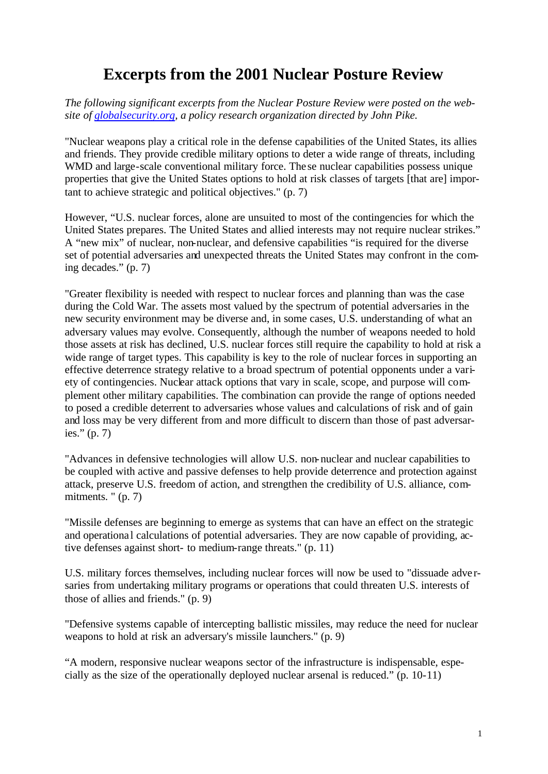# **Excerpts from the 2001 Nuclear Posture Review**

*The following significant excerpts from the Nuclear Posture Review were posted on the website of globalsecurity.org, a policy research organization directed by John Pike.*

"Nuclear weapons play a critical role in the defense capabilities of the United States, its allies and friends. They provide credible military options to deter a wide range of threats, including WMD and large-scale conventional military force. The se nuclear capabilities possess unique properties that give the United States options to hold at risk classes of targets [that are] important to achieve strategic and political objectives." (p. 7)

However, "U.S. nuclear forces, alone are unsuited to most of the contingencies for which the United States prepares. The United States and allied interests may not require nuclear strikes." A "new mix" of nuclear, non-nuclear, and defensive capabilities "is required for the diverse set of potential adversaries and unexpected threats the United States may confront in the coming decades." (p. 7)

"Greater flexibility is needed with respect to nuclear forces and planning than was the case during the Cold War. The assets most valued by the spectrum of potential adversaries in the new security environment may be diverse and, in some cases, U.S. understanding of what an adversary values may evolve. Consequently, although the number of weapons needed to hold those assets at risk has declined, U.S. nuclear forces still require the capability to hold at risk a wide range of target types. This capability is key to the role of nuclear forces in supporting an effective deterrence strategy relative to a broad spectrum of potential opponents under a variety of contingencies. Nuclear attack options that vary in scale, scope, and purpose will complement other military capabilities. The combination can provide the range of options needed to posed a credible deterrent to adversaries whose values and calculations of risk and of gain and loss may be very different from and more difficult to discern than those of past adversaries." (p. 7)

"Advances in defensive technologies will allow U.S. non-nuclear and nuclear capabilities to be coupled with active and passive defenses to help provide deterrence and protection against attack, preserve U.S. freedom of action, and strengthen the credibility of U.S. alliance, commitments. " (p. 7)

"Missile defenses are beginning to emerge as systems that can have an effect on the strategic and operationa l calculations of potential adversaries. They are now capable of providing, active defenses against short- to medium-range threats." (p. 11)

U.S. military forces themselves, including nuclear forces will now be used to "dissuade adve rsaries from undertaking military programs or operations that could threaten U.S. interests of those of allies and friends." (p. 9)

"Defensive systems capable of intercepting ballistic missiles, may reduce the need for nuclear weapons to hold at risk an adversary's missile launchers." (p. 9)

"A modern, responsive nuclear weapons sector of the infrastructure is indispensable, especially as the size of the operationally deployed nuclear arsenal is reduced." (p. 10-11)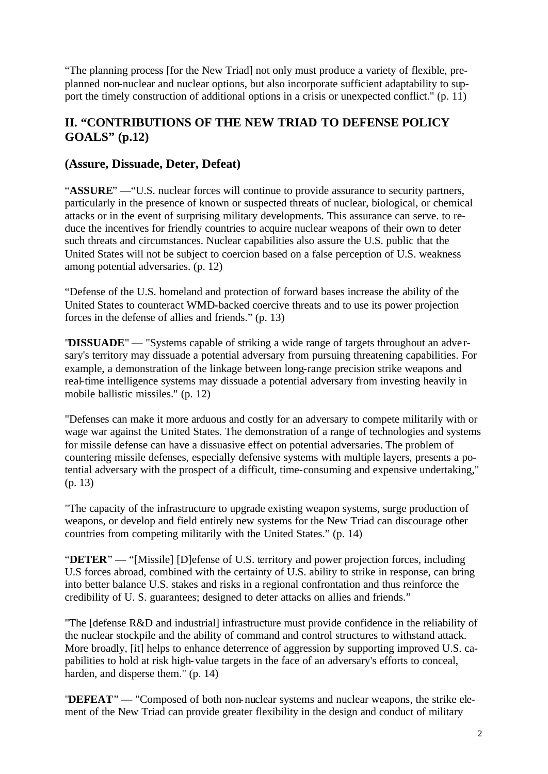"The planning process [for the New Triad] not only must produce a variety of flexible, preplanned non-nuclear and nuclear options, but also incorporate sufficient adaptability to support the timely construction of additional options in a crisis or unexpected conflict." (p. 11)

### **II. "CONTRIBUTIONS OF THE NEW TRIAD TO DEFENSE POLICY GOALS" (p.12)**

#### **(Assure, Dissuade, Deter, Defeat)**

"**ASSURE**" —"U.S. nuclear forces will continue to provide assurance to security partners, particularly in the presence of known or suspected threats of nuclear, biological, or chemical attacks or in the event of surprising military developments. This assurance can serve. to reduce the incentives for friendly countries to acquire nuclear weapons of their own to deter such threats and circumstances. Nuclear capabilities also assure the U.S. public that the United States will not be subject to coercion based on a false perception of U.S. weakness among potential adversaries. (p. 12)

"Defense of the U.S. homeland and protection of forward bases increase the ability of the United States to counteract WMD-backed coercive threats and to use its power projection forces in the defense of allies and friends." (p. 13)

"**DISSUADE**" — "Systems capable of striking a wide range of targets throughout an adve rsary's territory may dissuade a potential adversary from pursuing threatening capabilities. For example, a demonstration of the linkage between long-range precision strike weapons and real-time intelligence systems may dissuade a potential adversary from investing heavily in mobile ballistic missiles." (p. 12)

"Defenses can make it more arduous and costly for an adversary to compete militarily with or wage war against the United States. The demonstration of a range of technologies and systems for missile defense can have a dissuasive effect on potential adversaries. The problem of countering missile defenses, especially defensive systems with multiple layers, presents a potential adversary with the prospect of a difficult, time-consuming and expensive undertaking," (p. 13)

"The capacity of the infrastructure to upgrade existing weapon systems, surge production of weapons, or develop and field entirely new systems for the New Triad can discourage other countries from competing militarily with the United States." (p. 14)

"**DETER**" — "[Missile] [D]efense of U.S. territory and power projection forces, including U.S forces abroad, combined with the certainty of U.S. ability to strike in response, can bring into better balance U.S. stakes and risks in a regional confrontation and thus reinforce the credibility of U. S. guarantees; designed to deter attacks on allies and friends."

"The [defense R&D and industrial] infrastructure must provide confidence in the reliability of the nuclear stockpile and the ability of command and control structures to withstand attack. More broadly, [it] helps to enhance deterrence of aggression by supporting improved U.S. capabilities to hold at risk high-value targets in the face of an adversary's efforts to conceal, harden, and disperse them." (p. 14)

"**DEFEAT**" — "Composed of both non-nuclear systems and nuclear weapons, the strike element of the New Triad can provide greater flexibility in the design and conduct of military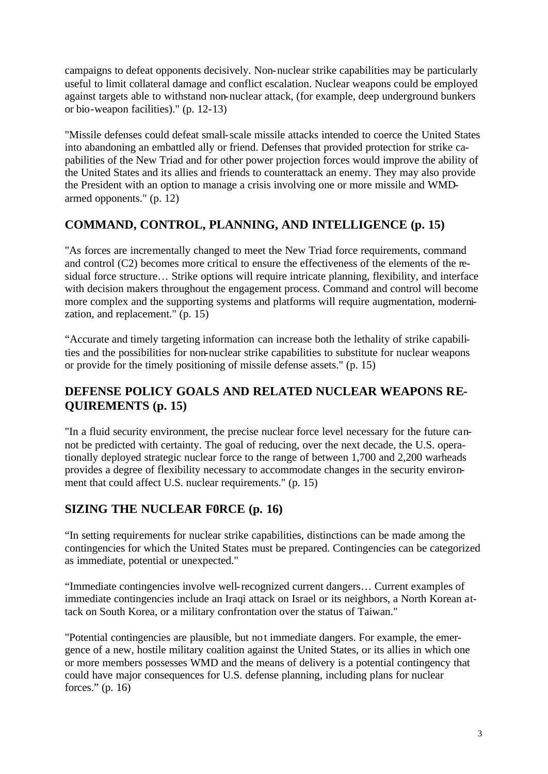campaigns to defeat opponents decisively. Non-nuclear strike capabilities may be particularly useful to limit collateral damage and conflict escalation. Nuclear weapons could be employed against targets able to withstand non-nuclear attack, (for example, deep underground bunkers or bio-weapon facilities)." (p. 12-13)

"Missile defenses could defeat small-scale missile attacks intended to coerce the United States into abandoning an embattled ally or friend. Defenses that provided protection for strike capabilities of the New Triad and for other power projection forces would improve the ability of the United States and its allies and friends to counterattack an enemy. They may also provide the President with an option to manage a crisis involving one or more missile and WMDarmed opponents." (p. 12)

### **COMMAND, CONTROL, PLANNING, AND INTELLIGENCE (p. 15)**

"As forces are incrementally changed to meet the New Triad force requirements, command and control (C2) becomes more critical to ensure the effectiveness of the elements of the residual force structure… Strike options will require intricate planning, flexibility, and interface with decision makers throughout the engagement process. Command and control will become more complex and the supporting systems and platforms will require augmentation, modernization, and replacement." (p. 15)

"Accurate and timely targeting information can increase both the lethality of strike capabilities and the possibilities for non-nuclear strike capabilities to substitute for nuclear weapons or provide for the timely positioning of missile defense assets." (p. 15)

### **DEFENSE POLICY GOALS AND RELATED NUCLEAR WEAPONS RE-QUIREMENTS (p. 15)**

"In a fluid security environment, the precise nuclear force level necessary for the future cannot be predicted with certainty. The goal of reducing, over the next decade, the U.S. operationally deployed strategic nuclear force to the range of between 1,700 and 2,200 warheads provides a degree of flexibility necessary to accommodate changes in the security environment that could affect U.S. nuclear requirements." (p. 15)

### **SIZING THE NUCLEAR F0RCE (p. 16)**

"In setting requirements for nuclear strike capabilities, distinctions can be made among the contingencies for which the United States must be prepared. Contingencies can be categorized as immediate, potential or unexpected."

"Immediate contingencies involve well-recognized current dangers… Current examples of immediate contingencies include an Iraqi attack on Israel or its neighbors, a North Korean attack on South Korea, or a military confrontation over the status of Taiwan."

"Potential contingencies are plausible, but not immediate dangers. For example, the emergence of a new, hostile military coalition against the United States, or its allies in which one or more members possesses WMD and the means of delivery is a potential contingency that could have major consequences for U.S. defense planning, including plans for nuclear forces." (p. 16)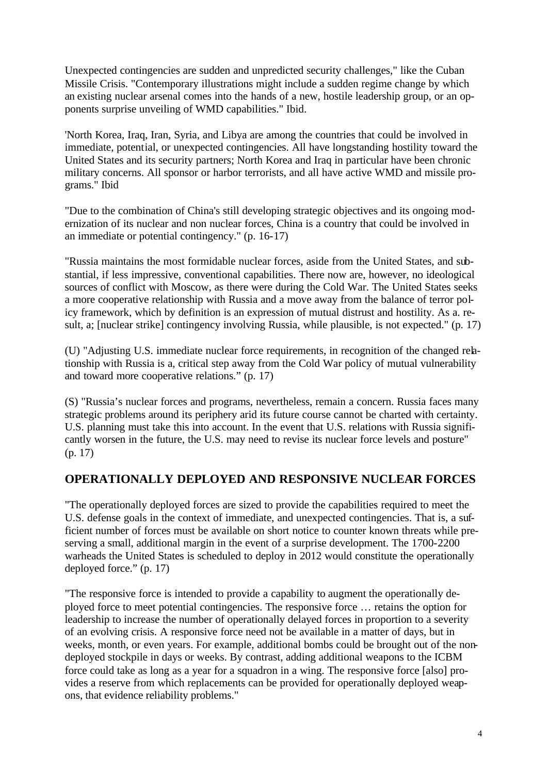Unexpected contingencies are sudden and unpredicted security challenges," like the Cuban Missile Crisis. "Contemporary illustrations might include a sudden regime change by which an existing nuclear arsenal comes into the hands of a new, hostile leadership group, or an opponents surprise unveiling of WMD capabilities." Ibid.

'North Korea, Iraq, Iran, Syria, and Libya are among the countries that could be involved in immediate, potential, or unexpected contingencies. All have longstanding hostility toward the United States and its security partners; North Korea and Iraq in particular have been chronic military concerns. All sponsor or harbor terrorists, and all have active WMD and missile programs." Ibid

"Due to the combination of China's still developing strategic objectives and its ongoing modernization of its nuclear and non nuclear forces, China is a country that could be involved in an immediate or potential contingency." (p. 16-17)

"Russia maintains the most formidable nuclear forces, aside from the United States, and substantial, if less impressive, conventional capabilities. There now are, however, no ideological sources of conflict with Moscow, as there were during the Cold War. The United States seeks a more cooperative relationship with Russia and a move away from the balance of terror policy framework, which by definition is an expression of mutual distrust and hostility. As a. result, a; [nuclear strike] contingency involving Russia, while plausible, is not expected." (p. 17)

(U) "Adjusting U.S. immediate nuclear force requirements, in recognition of the changed relationship with Russia is a, critical step away from the Cold War policy of mutual vulnerability and toward more cooperative relations." (p. 17)

(S) "Russia's nuclear forces and programs, nevertheless, remain a concern. Russia faces many strategic problems around its periphery arid its future course cannot be charted with certainty. U.S. planning must take this into account. In the event that U.S. relations with Russia significantly worsen in the future, the U.S. may need to revise its nuclear force levels and posture" (p. 17)

### **OPERATIONALLY DEPLOYED AND RESPONSIVE NUCLEAR FORCES**

"The operationally deployed forces are sized to provide the capabilities required to meet the U.S. defense goals in the context of immediate, and unexpected contingencies. That is, a sufficient number of forces must be available on short notice to counter known threats while preserving a small, additional margin in the event of a surprise development. The 1700-2200 warheads the United States is scheduled to deploy in 2012 would constitute the operationally deployed force." (p. 17)

"The responsive force is intended to provide a capability to augment the operationally deployed force to meet potential contingencies. The responsive force … retains the option for leadership to increase the number of operationally delayed forces in proportion to a severity of an evolving crisis. A responsive force need not be available in a matter of days, but in weeks, month, or even years. For example, additional bombs could be brought out of the nondeployed stockpile in days or weeks. By contrast, adding additional weapons to the ICBM force could take as long as a year for a squadron in a wing. The responsive force [also] provides a reserve from which replacements can be provided for operationally deployed weapons, that evidence reliability problems."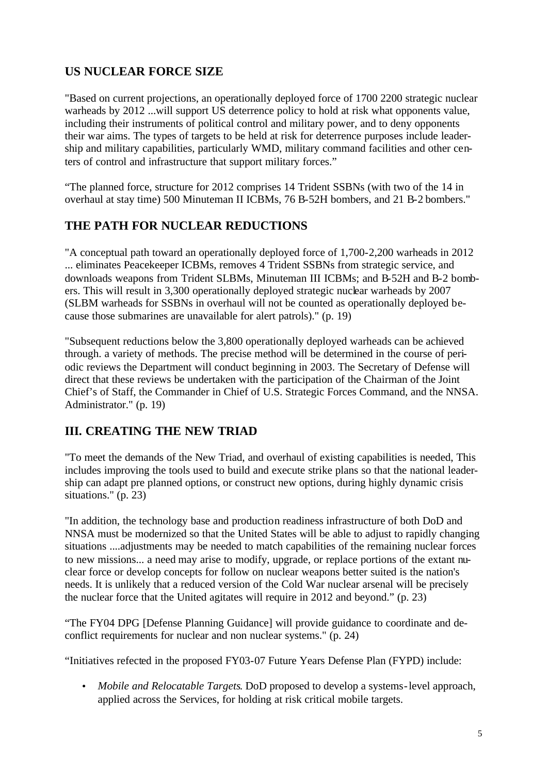### **US NUCLEAR FORCE SIZE**

"Based on current projections, an operationally deployed force of 1700 2200 strategic nuclear warheads by 2012 ...will support US deterrence policy to hold at risk what opponents value, including their instruments of political control and military power, and to deny opponents their war aims. The types of targets to be held at risk for deterrence purposes include leadership and military capabilities, particularly WMD, military command facilities and other centers of control and infrastructure that support military forces."

"The planned force, structure for 2012 comprises 14 Trident SSBNs (with two of the 14 in overhaul at stay time) 500 Minuteman II ICBMs, 76 B-52H bombers, and 21 B-2 bombers."

# **THE PATH FOR NUCLEAR REDUCTIONS**

"A conceptual path toward an operationally deployed force of 1,700-2,200 warheads in 2012 ... eliminates Peacekeeper ICBMs, removes 4 Trident SSBNs from strategic service, and downloads weapons from Trident SLBMs, Minuteman III ICBMs; and B-52H and B-2 bombers. This will result in 3,300 operationally deployed strategic nuclear warheads by 2007 (SLBM warheads for SSBNs in overhaul will not be counted as operationally deployed because those submarines are unavailable for alert patrols)." (p. 19)

"Subsequent reductions below the 3,800 operationally deployed warheads can be achieved through. a variety of methods. The precise method will be determined in the course of periodic reviews the Department will conduct beginning in 2003. The Secretary of Defense will direct that these reviews be undertaken with the participation of the Chairman of the Joint Chief's of Staff, the Commander in Chief of U.S. Strategic Forces Command, and the NNSA. Administrator." (p. 19)

### **III. CREATING THE NEW TRIAD**

"To meet the demands of the New Triad, and overhaul of existing capabilities is needed, This includes improving the tools used to build and execute strike plans so that the national leadership can adapt pre planned options, or construct new options, during highly dynamic crisis situations." (p. 23)

"In addition, the technology base and production readiness infrastructure of both DoD and NNSA must be modernized so that the United States will be able to adjust to rapidly changing situations ....adjustments may be needed to match capabilities of the remaining nuclear forces to new missions... a need may arise to modify, upgrade, or replace portions of the extant nuclear force or develop concepts for follow on nuclear weapons better suited is the nation's needs. It is unlikely that a reduced version of the Cold War nuclear arsenal will be precisely the nuclear force that the United agitates will require in 2012 and beyond." (p. 23)

"The FY04 DPG [Defense Planning Guidance] will provide guidance to coordinate and deconflict requirements for nuclear and non nuclear systems." (p. 24)

"Initiatives refected in the proposed FY03-07 Future Years Defense Plan (FYPD) include:

• *Mobile and Relocatable Targets*. DoD proposed to develop a systems-level approach, applied across the Services, for holding at risk critical mobile targets.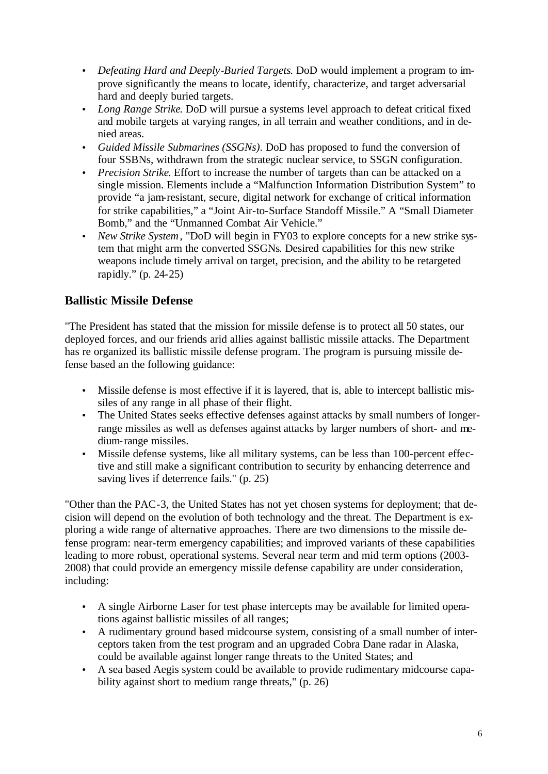- *Defeating Hard and Deeply-Buried Targets*. DoD would implement a program to improve significantly the means to locate, identify, characterize, and target adversarial hard and deeply buried targets.
- *Long Range Strike*. DoD will pursue a systems level approach to defeat critical fixed and mobile targets at varying ranges, in all terrain and weather conditions, and in denied areas.
- *Guided Missile Submarines (SSGNs)*. DoD has proposed to fund the conversion of four SSBNs, withdrawn from the strategic nuclear service, to SSGN configuration.
- *Precision Strike*. Effort to increase the number of targets than can be attacked on a single mission. Elements include a "Malfunction Information Distribution System" to provide "a jam-resistant, secure, digital network for exchange of critical information for strike capabilities," a "Joint Air-to-Surface Standoff Missile." A "Small Diameter Bomb," and the "Unmanned Combat Air Vehicle."
- *New Strike System*, "DoD will begin in FY03 to explore concepts for a new strike system that might arm the converted SSGNs. Desired capabilities for this new strike weapons include timely arrival on target, precision, and the ability to be retargeted rapidly." (p. 24-25)

### **Ballistic Missile Defense**

"The President has stated that the mission for missile defense is to protect all 50 states, our deployed forces, and our friends arid allies against ballistic missile attacks. The Department has re organized its ballistic missile defense program. The program is pursuing missile defense based an the following guidance:

- Missile defense is most effective if it is layered, that is, able to intercept ballistic missiles of any range in all phase of their flight.
- The United States seeks effective defenses against attacks by small numbers of longerrange missiles as well as defenses against attacks by larger numbers of short- and medium-range missiles.
- Missile defense systems, like all military systems, can be less than 100-percent effective and still make a significant contribution to security by enhancing deterrence and saving lives if deterrence fails." (p. 25)

"Other than the PAC-3, the United States has not yet chosen systems for deployment; that decision will depend on the evolution of both technology and the threat. The Department is exploring a wide range of alternative approaches. There are two dimensions to the missile defense program: near-term emergency capabilities; and improved variants of these capabilities leading to more robust, operational systems. Several near term and mid term options (2003- 2008) that could provide an emergency missile defense capability are under consideration, including:

- A single Airborne Laser for test phase intercepts may be available for limited operations against ballistic missiles of all ranges;
- A rudimentary ground based midcourse system, consisting of a small number of interceptors taken from the test program and an upgraded Cobra Dane radar in Alaska, could be available against longer range threats to the United States; and
- A sea based Aegis system could be available to provide rudimentary midcourse capability against short to medium range threats," (p. 26)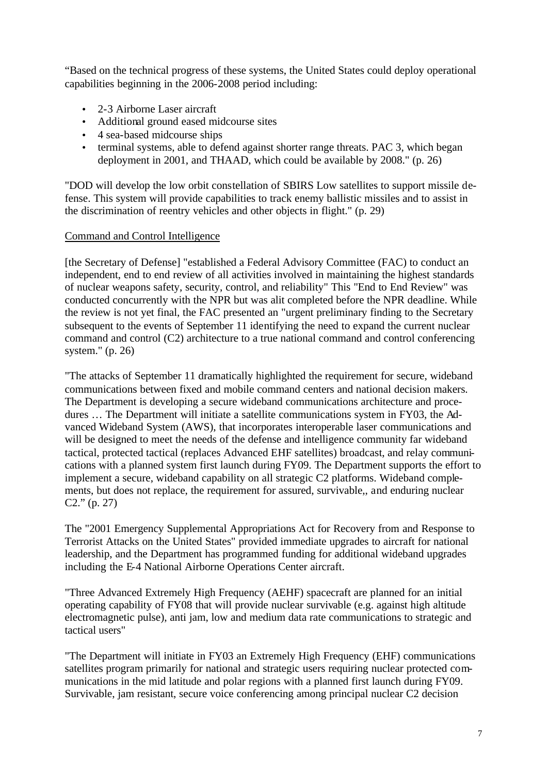"Based on the technical progress of these systems, the United States could deploy operational capabilities beginning in the 2006-2008 period including:

- 2-3 Airborne Laser aircraft
- Additional ground eased midcourse sites
- 4 sea-based midcourse ships
- terminal systems, able to defend against shorter range threats. PAC 3, which began deployment in 2001, and THAAD, which could be available by 2008." (p. 26)

"DOD will develop the low orbit constellation of SBIRS Low satellites to support missile defense. This system will provide capabilities to track enemy ballistic missiles and to assist in the discrimination of reentry vehicles and other objects in flight." (p. 29)

#### Command and Control Intelligence

[the Secretary of Defense] "established a Federal Advisory Committee (FAC) to conduct an independent, end to end review of all activities involved in maintaining the highest standards of nuclear weapons safety, security, control, and reliability" This "End to End Review" was conducted concurrently with the NPR but was alit completed before the NPR deadline. While the review is not yet final, the FAC presented an "urgent preliminary finding to the Secretary subsequent to the events of September 11 identifying the need to expand the current nuclear command and control (C2) architecture to a true national command and control conferencing system." (p. 26)

"The attacks of September 11 dramatically highlighted the requirement for secure, wideband communications between fixed and mobile command centers and national decision makers. The Department is developing a secure wideband communications architecture and procedures … The Department will initiate a satellite communications system in FY03, the Advanced Wideband System (AWS), that incorporates interoperable laser communications and will be designed to meet the needs of the defense and intelligence community far wideband tactical, protected tactical (replaces Advanced EHF satellites) broadcast, and relay communications with a planned system first launch during FY09. The Department supports the effort to implement a secure, wideband capability on all strategic C2 platforms. Wideband complements, but does not replace, the requirement for assured, survivable,, and enduring nuclear C2." (p. 27)

The "2001 Emergency Supplemental Appropriations Act for Recovery from and Response to Terrorist Attacks on the United States" provided immediate upgrades to aircraft for national leadership, and the Department has programmed funding for additional wideband upgrades including the E-4 National Airborne Operations Center aircraft.

"Three Advanced Extremely High Frequency (AEHF) spacecraft are planned for an initial operating capability of FY08 that will provide nuclear survivable (e.g. against high altitude electromagnetic pulse), anti jam, low and medium data rate communications to strategic and tactical users"

"The Department will initiate in FY03 an Extremely High Frequency (EHF) communications satellites program primarily for national and strategic users requiring nuclear protected communications in the mid latitude and polar regions with a planned first launch during FY09. Survivable, jam resistant, secure voice conferencing among principal nuclear C2 decision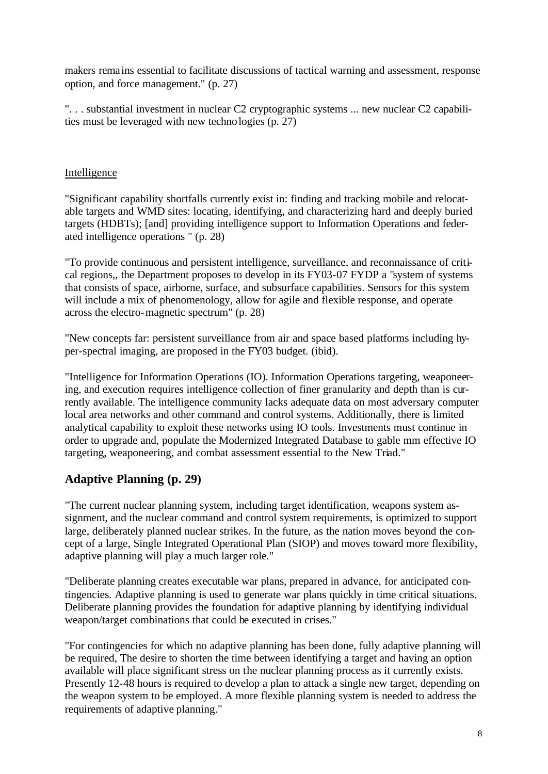makers remains essential to facilitate discussions of tactical warning and assessment, response option, and force management." (p. 27)

". . . substantial investment in nuclear C2 cryptographic systems ... new nuclear C2 capabilities must be leveraged with new technologies (p. 27)

#### Intelligence

"Significant capability shortfalls currently exist in: finding and tracking mobile and relocatable targets and WMD sites: locating, identifying, and characterizing hard and deeply buried targets (HDBTs); [and] providing intelligence support to Information Operations and federated intelligence operations " (p. 28)

"To provide continuous and persistent intelligence, surveillance, and reconnaissance of critical regions,, the Department proposes to develop in its FY03-07 FYDP a "system of systems that consists of space, airborne, surface, and subsurface capabilities. Sensors for this system will include a mix of phenomenology, allow for agile and flexible response, and operate across the electro-magnetic spectrum" (p. 28)

"New concepts far: persistent surveillance from air and space based platforms including hyper-spectral imaging, are proposed in the FY03 budget. (ibid).

"Intelligence for Information Operations (IO). Information Operations targeting, weaponeering, and execution requires intelligence collection of finer granularity and depth than is currently available. The intelligence community lacks adequate data on most adversary computer local area networks and other command and control systems. Additionally, there is limited analytical capability to exploit these networks using IO tools. Investments must continue in order to upgrade and, populate the Modernized Integrated Database to gable mm effective IO targeting, weaponeering, and combat assessment essential to the New Triad."

### **Adaptive Planning (p. 29)**

"The current nuclear planning system, including target identification, weapons system assignment, and the nuclear command and control system requirements, is optimized to support large, deliberately planned nuclear strikes. In the future, as the nation moves beyond the concept of a large, Single Integrated Operational Plan (SIOP) and moves toward more flexibility, adaptive planning will play a much larger role."

"Deliberate planning creates executable war plans, prepared in advance, for anticipated contingencies. Adaptive planning is used to generate war plans quickly in time critical situations. Deliberate planning provides the foundation for adaptive planning by identifying individual weapon/target combinations that could be executed in crises."

"For contingencies for which no adaptive planning has been done, fully adaptive planning will be required, The desire to shorten the time between identifying a target and having an option available will place significant stress on the nuclear planning process as it currently exists. Presently 12-48 hours is required to develop a plan to attack a single new target, depending on the weapon system to be employed. A more flexible planning system is needed to address the requirements of adaptive planning."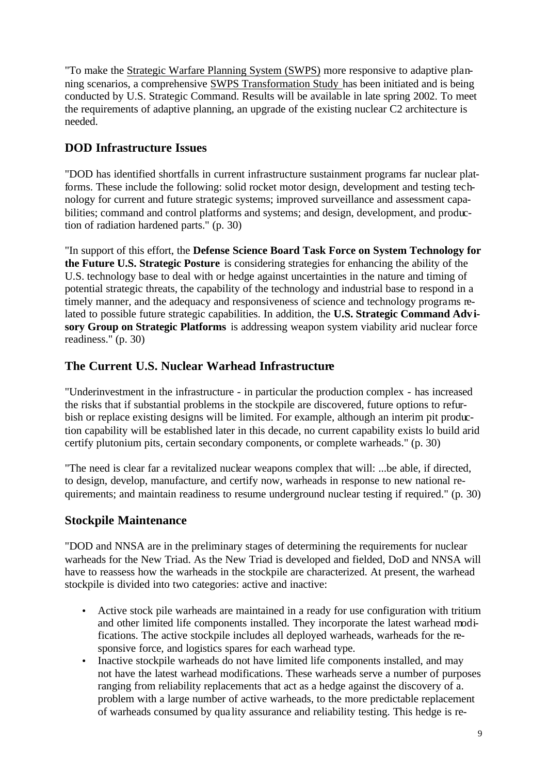"To make the Strategic Warfare Planning System (SWPS) more responsive to adaptive planning scenarios, a comprehensive SWPS Transformation Study has been initiated and is being conducted by U.S. Strategic Command. Results will be available in late spring 2002. To meet the requirements of adaptive planning, an upgrade of the existing nuclear C2 architecture is needed.

#### **DOD Infrastructure Issues**

"DOD has identified shortfalls in current infrastructure sustainment programs far nuclear platforms. These include the following: solid rocket motor design, development and testing technology for current and future strategic systems; improved surveillance and assessment capabilities; command and control platforms and systems; and design, development, and production of radiation hardened parts." (p. 30)

"In support of this effort, the **Defense Science Board Task Force on System Technology for the Future U.S. Strategic Posture** is considering strategies for enhancing the ability of the U.S. technology base to deal with or hedge against uncertainties in the nature and timing of potential strategic threats, the capability of the technology and industrial base to respond in a timely manner, and the adequacy and responsiveness of science and technology programs related to possible future strategic capabilities. In addition, the **U.S. Strategic Command Advisory Group on Strategic Platforms** is addressing weapon system viability arid nuclear force readiness." (p. 30)

#### **The Current U.S. Nuclear Warhead Infrastructure**

"Underinvestment in the infrastructure - in particular the production complex - has increased the risks that if substantial problems in the stockpile are discovered, future options to refurbish or replace existing designs will be limited. For example, although an interim pit production capability will be established later in this decade, no current capability exists lo build arid certify plutonium pits, certain secondary components, or complete warheads." (p. 30)

"The need is clear far a revitalized nuclear weapons complex that will: ...be able, if directed, to design, develop, manufacture, and certify now, warheads in response to new national requirements; and maintain readiness to resume underground nuclear testing if required." (p. 30)

#### **Stockpile Maintenance**

"DOD and NNSA are in the preliminary stages of determining the requirements for nuclear warheads for the New Triad. As the New Triad is developed and fielded, DoD and NNSA will have to reassess how the warheads in the stockpile are characterized. At present, the warhead stockpile is divided into two categories: active and inactive:

- Active stock pile warheads are maintained in a ready for use configuration with tritium and other limited life components installed. They incorporate the latest warhead modifications. The active stockpile includes all deployed warheads, warheads for the responsive force, and logistics spares for each warhead type.
- Inactive stockpile warheads do not have limited life components installed, and may not have the latest warhead modifications. These warheads serve a number of purposes ranging from reliability replacements that act as a hedge against the discovery of a. problem with a large number of active warheads, to the more predictable replacement of warheads consumed by qua lity assurance and reliability testing. This hedge is re-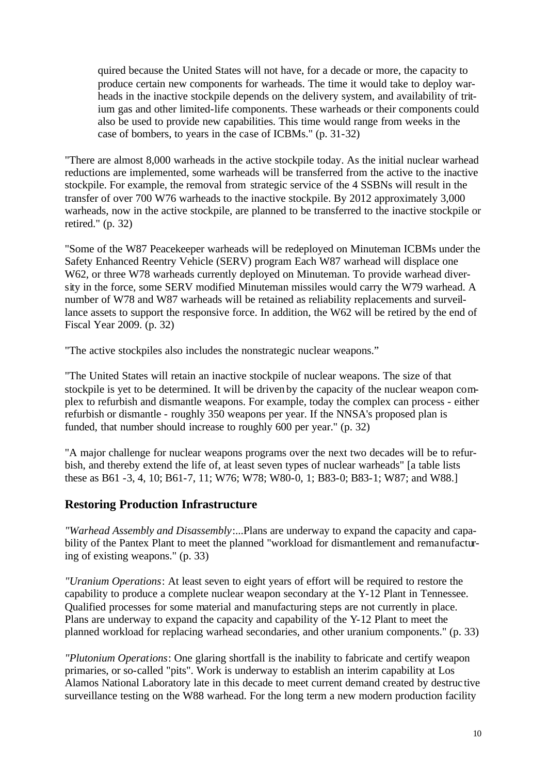quired because the United States will not have, for a decade or more, the capacity to produce certain new components for warheads. The time it would take to deploy warheads in the inactive stockpile depends on the delivery system, and availability of tritium gas and other limited-life components. These warheads or their components could also be used to provide new capabilities. This time would range from weeks in the case of bombers, to years in the case of ICBMs." (p. 31-32)

"There are almost 8,000 warheads in the active stockpile today. As the initial nuclear warhead reductions are implemented, some warheads will be transferred from the active to the inactive stockpile. For example, the removal from strategic service of the 4 SSBNs will result in the transfer of over 700 W76 warheads to the inactive stockpile. By 2012 approximately 3,000 warheads, now in the active stockpile, are planned to be transferred to the inactive stockpile or retired." (p. 32)

"Some of the W87 Peacekeeper warheads will be redeployed on Minuteman ICBMs under the Safety Enhanced Reentry Vehicle (SERV) program Each W87 warhead will displace one W62, or three W78 warheads currently deployed on Minuteman. To provide warhead diversity in the force, some SERV modified Minuteman missiles would carry the W79 warhead. A number of W78 and W87 warheads will be retained as reliability replacements and surveillance assets to support the responsive force. In addition, the W62 will be retired by the end of Fiscal Year 2009. (p. 32)

"The active stockpiles also includes the nonstrategic nuclear weapons."

"The United States will retain an inactive stockpile of nuclear weapons. The size of that stockpile is yet to be determined. It will be driven by the capacity of the nuclear weapon complex to refurbish and dismantle weapons. For example, today the complex can process - either refurbish or dismantle - roughly 350 weapons per year. If the NNSA's proposed plan is funded, that number should increase to roughly 600 per year." (p. 32)

"A major challenge for nuclear weapons programs over the next two decades will be to refurbish, and thereby extend the life of, at least seven types of nuclear warheads" [a table lists these as B61 -3, 4, 10; B61-7, 11; W76; W78; W80-0, 1; B83-0; B83-1; W87; and W88.]

#### **Restoring Production Infrastructure**

*"Warhead Assembly and Disassembly*:...Plans are underway to expand the capacity and capability of the Pantex Plant to meet the planned "workload for dismantlement and remanufacturing of existing weapons." (p. 33)

*"Uranium Operations*: At least seven to eight years of effort will be required to restore the capability to produce a complete nuclear weapon secondary at the Y-12 Plant in Tennessee. Qualified processes for some material and manufacturing steps are not currently in place. Plans are underway to expand the capacity and capability of the Y-12 Plant to meet the planned workload for replacing warhead secondaries, and other uranium components." (p. 33)

*"Plutonium Operations*: One glaring shortfall is the inability to fabricate and certify weapon primaries, or so-called "pits". Work is underway to establish an interim capability at Los Alamos National Laboratory late in this decade to meet current demand created by destruc tive surveillance testing on the W88 warhead. For the long term a new modern production facility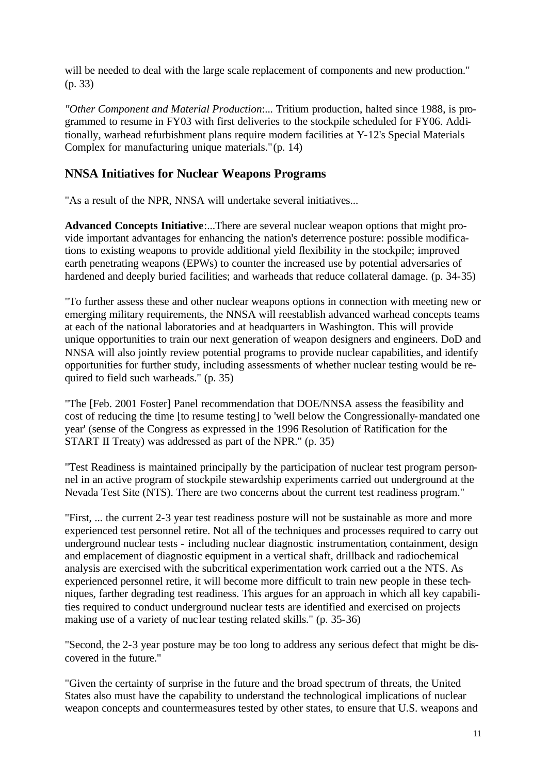will be needed to deal with the large scale replacement of components and new production." (p. 33)

*"Other Component and Material Production*:... Tritium production, halted since 1988, is programmed to resume in FY03 with first deliveries to the stockpile scheduled for FY06. Additionally, warhead refurbishment plans require modern facilities at Y-12's Special Materials Complex for manufacturing unique materials." (p. 14)

#### **NNSA Initiatives for Nuclear Weapons Programs**

"As a result of the NPR, NNSA will undertake several initiatives...

**Advanced Concepts Initiative**:...There are several nuclear weapon options that might provide important advantages for enhancing the nation's deterrence posture: possible modifications to existing weapons to provide additional yield flexibility in the stockpile; improved earth penetrating weapons (EPWs) to counter the increased use by potential adversaries of hardened and deeply buried facilities; and warheads that reduce collateral damage. (p. 34-35)

"To further assess these and other nuclear weapons options in connection with meeting new or emerging military requirements, the NNSA will reestablish advanced warhead concepts teams at each of the national laboratories and at headquarters in Washington. This will provide unique opportunities to train our next generation of weapon designers and engineers. DoD and NNSA will also jointly review potential programs to provide nuclear capabilities, and identify opportunities for further study, including assessments of whether nuclear testing would be required to field such warheads." (p. 35)

"The [Feb. 2001 Foster] Panel recommendation that DOE/NNSA assess the feasibility and cost of reducing the time [to resume testing] to 'well below the Congressionally-mandated one year' (sense of the Congress as expressed in the 1996 Resolution of Ratification for the START II Treaty) was addressed as part of the NPR." (p. 35)

"Test Readiness is maintained principally by the participation of nuclear test program personnel in an active program of stockpile stewardship experiments carried out underground at the Nevada Test Site (NTS). There are two concerns about the current test readiness program."

"First, ... the current 2-3 year test readiness posture will not be sustainable as more and more experienced test personnel retire. Not all of the techniques and processes required to carry out underground nuclear tests - including nuclear diagnostic instrumentation, containment, design and emplacement of diagnostic equipment in a vertical shaft, drillback and radiochemical analysis are exercised with the subcritical experimentation work carried out a the NTS. As experienced personnel retire, it will become more difficult to train new people in these techniques, farther degrading test readiness. This argues for an approach in which all key capabilities required to conduct underground nuclear tests are identified and exercised on projects making use of a variety of nuc lear testing related skills." (p. 35-36)

"Second, the 2-3 year posture may be too long to address any serious defect that might be discovered in the future."

"Given the certainty of surprise in the future and the broad spectrum of threats, the United States also must have the capability to understand the technological implications of nuclear weapon concepts and countermeasures tested by other states, to ensure that U.S. weapons and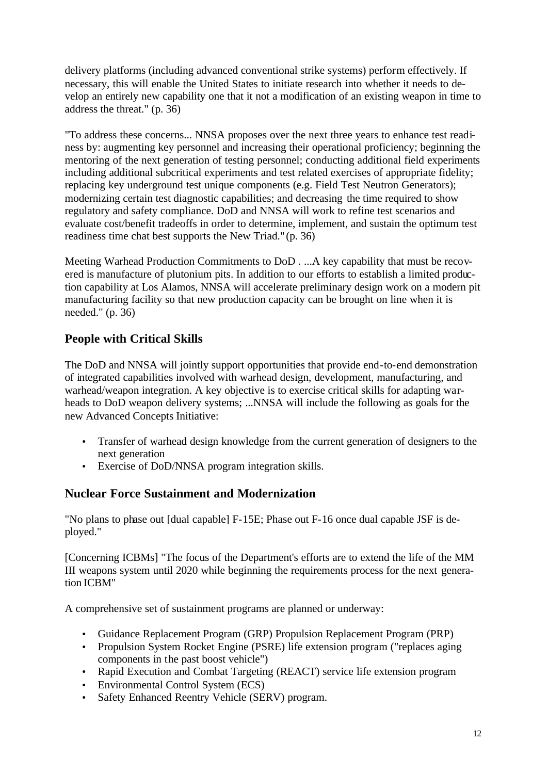delivery platforms (including advanced conventional strike systems) perform effectively. If necessary, this will enable the United States to initiate research into whether it needs to develop an entirely new capability one that it not a modification of an existing weapon in time to address the threat." (p. 36)

"To address these concerns... NNSA proposes over the next three years to enhance test readiness by: augmenting key personnel and increasing their operational proficiency; beginning the mentoring of the next generation of testing personnel; conducting additional field experiments including additional subcritical experiments and test related exercises of appropriate fidelity; replacing key underground test unique components (e.g. Field Test Neutron Generators); modernizing certain test diagnostic capabilities; and decreasing the time required to show regulatory and safety compliance. DoD and NNSA will work to refine test scenarios and evaluate cost/benefit tradeoffs in order to determine, implement, and sustain the optimum test readiness time chat best supports the New Triad." (p. 36)

Meeting Warhead Production Commitments to DoD . ...A key capability that must be recovered is manufacture of plutonium pits. In addition to our efforts to establish a limited production capability at Los Alamos, NNSA will accelerate preliminary design work on a modern pit manufacturing facility so that new production capacity can be brought on line when it is needed." (p. 36)

### **People with Critical Skills**

The DoD and NNSA will jointly support opportunities that provide end-to-end demonstration of integrated capabilities involved with warhead design, development, manufacturing, and warhead/weapon integration. A key objective is to exercise critical skills for adapting warheads to DoD weapon delivery systems; ...NNSA will include the following as goals for the new Advanced Concepts Initiative:

- Transfer of warhead design knowledge from the current generation of designers to the next generation
- Exercise of DoD/NNSA program integration skills.

### **Nuclear Force Sustainment and Modernization**

"No plans to phase out [dual capable] F-15E; Phase out F-16 once dual capable JSF is deployed."

[Concerning ICBMs] "The focus of the Department's efforts are to extend the life of the MM III weapons system until 2020 while beginning the requirements process for the next generation ICBM"

A comprehensive set of sustainment programs are planned or underway:

- Guidance Replacement Program (GRP) Propulsion Replacement Program (PRP)
- Propulsion System Rocket Engine (PSRE) life extension program ("replaces aging components in the past boost vehicle")
- Rapid Execution and Combat Targeting (REACT) service life extension program
- Environmental Control System (ECS)
- Safety Enhanced Reentry Vehicle (SERV) program.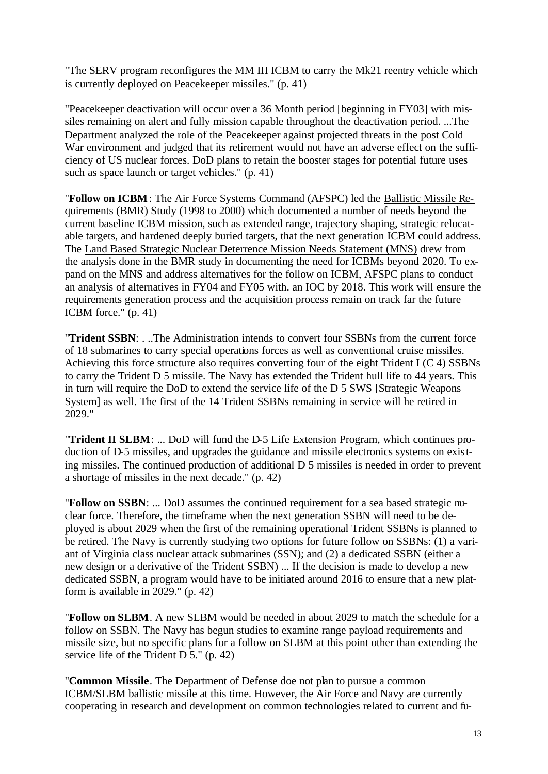"The SERV program reconfigures the MM III ICBM to carry the Mk21 reentry vehicle which is currently deployed on Peacekeeper missiles." (p. 41)

"Peacekeeper deactivation will occur over a 36 Month period [beginning in FY03] with missiles remaining on alert and fully mission capable throughout the deactivation period. ...The Department analyzed the role of the Peacekeeper against projected threats in the post Cold War environment and judged that its retirement would not have an adverse effect on the sufficiency of US nuclear forces. DoD plans to retain the booster stages for potential future uses such as space launch or target vehicles." (p. 41)

"**Follow on ICBM**: The Air Force Systems Command (AFSPC) led the Ballistic Missile Requirements (BMR) Study (1998 to 2000) which documented a number of needs beyond the current baseline ICBM mission, such as extended range, trajectory shaping, strategic relocatable targets, and hardened deeply buried targets, that the next generation ICBM could address. The Land Based Strategic Nuclear Deterrence Mission Needs Statement (MNS) drew from the analysis done in the BMR study in documenting the need for ICBMs beyond 2020. To expand on the MNS and address alternatives for the follow on ICBM, AFSPC plans to conduct an analysis of alternatives in FY04 and FY05 with. an IOC by 2018. This work will ensure the requirements generation process and the acquisition process remain on track far the future ICBM force." (p. 41)

"**Trident SSBN**: . ..The Administration intends to convert four SSBNs from the current force of 18 submarines to carry special operations forces as well as conventional cruise missiles. Achieving this force structure also requires converting four of the eight Trident I (C 4) SSBNs to carry the Trident D 5 missile. The Navy has extended the Trident hull life to 44 years. This in turn will require the DoD to extend the service life of the D 5 SWS [Strategic Weapons System] as well. The first of the 14 Trident SSBNs remaining in service will he retired in 2029."

"**Trident II SLBM**: ... DoD will fund the D-5 Life Extension Program, which continues production of D-5 missiles, and upgrades the guidance and missile electronics systems on existing missiles. The continued production of additional D 5 missiles is needed in order to prevent a shortage of missiles in the next decade." (p. 42)

"**Follow on SSBN**: ... DoD assumes the continued requirement for a sea based strategic nuclear force. Therefore, the timeframe when the next generation SSBN will need to be deployed is about 2029 when the first of the remaining operational Trident SSBNs is planned to be retired. The Navy is currently studying two options for future follow on SSBNs: (1) a variant of Virginia class nuclear attack submarines (SSN); and (2) a dedicated SSBN (either a new design or a derivative of the Trident SSBN) ... If the decision is made to develop a new dedicated SSBN, a program would have to be initiated around 2016 to ensure that a new platform is available in 2029." (p. 42)

"**Follow on SLBM**. A new SLBM would be needed in about 2029 to match the schedule for a follow on SSBN. The Navy has begun studies to examine range payload requirements and missile size, but no specific plans for a follow on SLBM at this point other than extending the service life of the Trident D 5." (p. 42)

"**Common Missile**. The Department of Defense doe not plan to pursue a common ICBM/SLBM ballistic missile at this time. However, the Air Force and Navy are currently cooperating in research and development on common technologies related to current and fu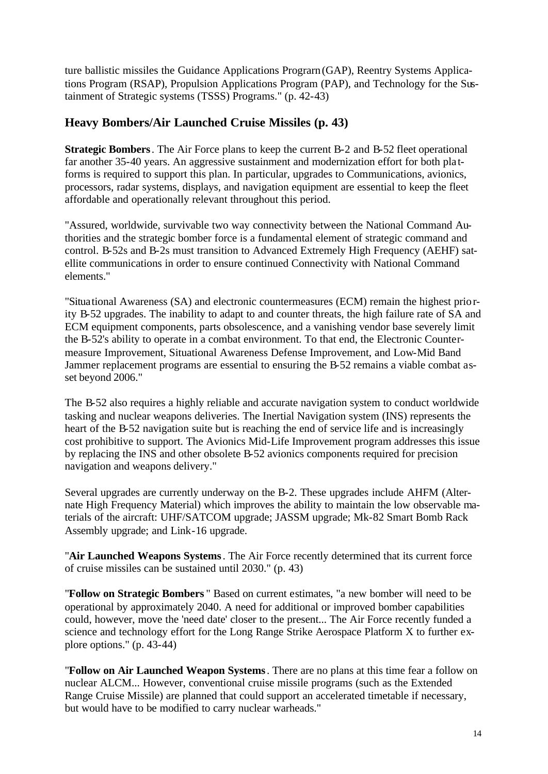ture ballistic missiles the Guidance Applications Prograrn (GAP), Reentry Systems Applications Program (RSAP), Propulsion Applications Program (PAP), and Technology for the Sustainment of Strategic systems (TSSS) Programs." (p. 42-43)

#### **Heavy Bombers/Air Launched Cruise Missiles (p. 43)**

**Strategic Bombers**. The Air Force plans to keep the current B-2 and B-52 fleet operational far another 35-40 years. An aggressive sustainment and modernization effort for both pla tforms is required to support this plan. In particular, upgrades to Communications, avionics, processors, radar systems, displays, and navigation equipment are essential to keep the fleet affordable and operationally relevant throughout this period.

"Assured, worldwide, survivable two way connectivity between the National Command Authorities and the strategic bomber force is a fundamental element of strategic command and control. B-52s and B-2s must transition to Advanced Extremely High Frequency (AEHF) satellite communications in order to ensure continued Connectivity with National Command elements."

"Situational Awareness (SA) and electronic countermeasures (ECM) remain the highest priority B-52 upgrades. The inability to adapt to and counter threats, the high failure rate of SA and ECM equipment components, parts obsolescence, and a vanishing vendor base severely limit the B-52's ability to operate in a combat environment. To that end, the Electronic Countermeasure Improvement, Situational Awareness Defense Improvement, and Low-Mid Band Jammer replacement programs are essential to ensuring the B-52 remains a viable combat asset beyond 2006."

The B-52 also requires a highly reliable and accurate navigation system to conduct worldwide tasking and nuclear weapons deliveries. The Inertial Navigation system (INS) represents the heart of the B-52 navigation suite but is reaching the end of service life and is increasingly cost prohibitive to support. The Avionics Mid-Life Improvement program addresses this issue by replacing the INS and other obsolete B-52 avionics components required for precision navigation and weapons delivery."

Several upgrades are currently underway on the B-2. These upgrades include AHFM (Alternate High Frequency Material) which improves the ability to maintain the low observable materials of the aircraft: UHF/SATCOM upgrade; JASSM upgrade; Mk-82 Smart Bomb Rack Assembly upgrade; and Link-16 upgrade.

"**Air Launched Weapons Systems**. The Air Force recently determined that its current force of cruise missiles can be sustained until 2030." (p. 43)

"**Follow on Strategic Bombers** " Based on current estimates, "a new bomber will need to be operational by approximately 2040. A need for additional or improved bomber capabilities could, however, move the 'need date' closer to the present... The Air Force recently funded a science and technology effort for the Long Range Strike Aerospace Platform X to further explore options." (p. 43-44)

"**Follow on Air Launched Weapon Systems**. There are no plans at this time fear a follow on nuclear ALCM... However, conventional cruise missile programs (such as the Extended Range Cruise Missile) are planned that could support an accelerated timetable if necessary, but would have to be modified to carry nuclear warheads."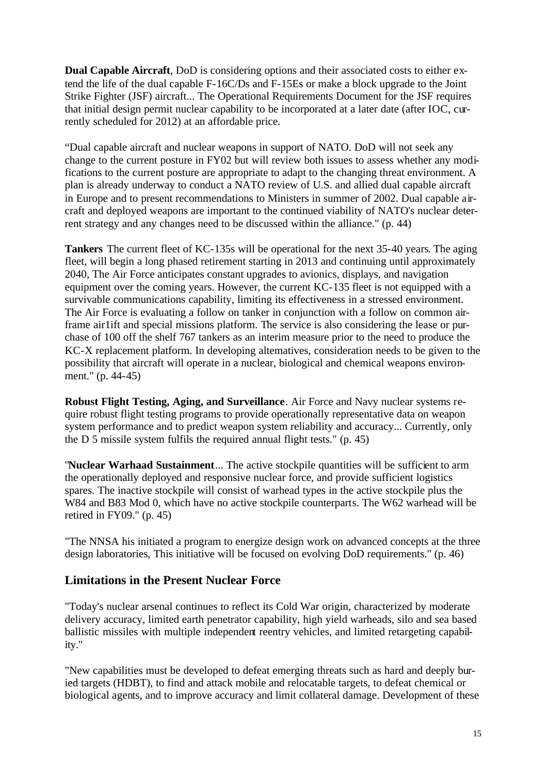**Dual Capable Aircraft**, DoD is considering options and their associated costs to either extend the life of the dual capable F-16C/Ds and F-15Es or make a block upgrade to the Joint Strike Fighter (JSF) aircraft... The Operational Requirements Document for the JSF requires that initial design permit nuclear capability to be incorporated at a later date (after IOC, currently scheduled for 2012) at an affordable price.

"Dual capable aircraft and nuclear weapons in support of NATO. DoD will not seek any change to the current posture in FY02 but will review both issues to assess whether any modifications to the current posture are appropriate to adapt to the changing threat environment. A plan is already underway to conduct a NATO review of U.S. and allied dual capable aircraft in Europe and to present recommendations to Ministers in summer of 2002. Dual capable aircraft and deployed weapons are important to the continued viability of NATO's nuclear deterrent strategy and any changes need to be discussed within the alliance." (p. 44)

**Tankers** The current fleet of KC-135s will be operational for the next 35-40 years. The aging fleet, will begin a long phased retirement starting in 2013 and continuing until approximately 2040, The Air Force anticipates constant upgrades to avionics, displays, and navigation equipment over the coming years. However, the current KC-135 fleet is not equipped with a survivable communications capability, limiting its effectiveness in a stressed environment. The Air Force is evaluating a follow on tanker in conjunction with a follow on common airframe air1ift and special missions platform. The service is also considering the lease or purchase of 100 off the shelf 767 tankers as an interim measure prior to the need to produce the KC-X replacement platform. In developing altematives, consideration needs to be given to the possibility that aircraft will operate in a nuclear, biological and chemical weapons environment." (p. 44-45)

**Robust Flight Testing, Aging, and Surveillance**. Air Force and Navy nuclear systems require robust flight testing programs to provide operationally representative data on weapon system performance and to predict weapon system reliability and accuracy... Currently, only the D 5 missile system fulfils the required annual flight tests." (p. 45)

"**Nuclear Warhaad Sustainment**... The active stockpile quantities will be sufficient to arm the operationally deployed and responsive nuclear force, and provide sufficient logistics spares. The inactive stockpile will consist of warhead types in the active stockpile plus the W84 and B83 Mod 0, which have no active stockpile counterparts. The W62 warhead will be retired in FY09." (p. 45)

"The NNSA his initiated a program to energize design work on advanced concepts at the three design laboratories, This initiative will be focused on evolving DoD requirements." (p. 46)

#### **Limitations in the Present Nuclear Force**

"Today's nuclear arsenal continues to reflect its Cold War origin, characterized by moderate delivery accuracy, limited earth penetrator capability, high yield warheads, silo and sea based ballistic missiles with multiple independent reentry vehicles, and limited retargeting capability."

"New capabilities must be developed to defeat emerging threats such as hard and deeply buried targets (HDBT), to find and attack mobile and relocatable targets, to defeat chemical or biological agents, and to improve accuracy and limit collateral damage. Development of these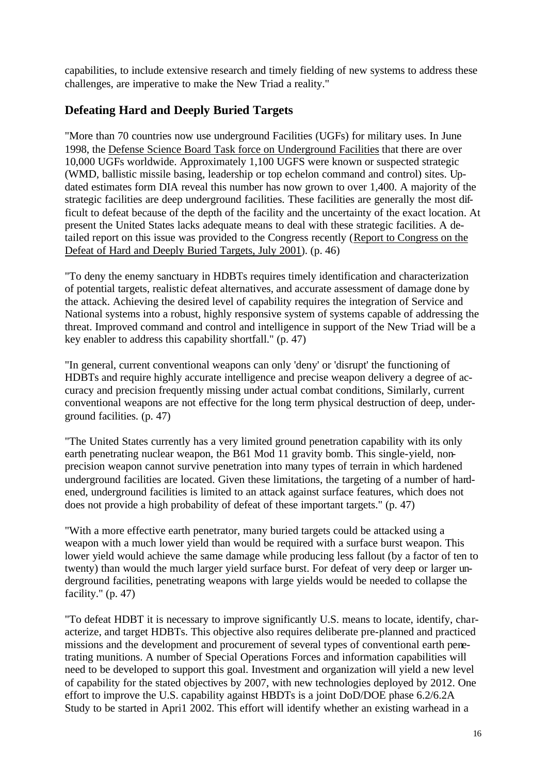capabilities, to include extensive research and timely fielding of new systems to address these challenges, are imperative to make the New Triad a reality."

### **Defeating Hard and Deeply Buried Targets**

"More than 70 countries now use underground Facilities (UGFs) for military uses. In June 1998, the Defense Science Board Task force on Underground Facilities that there are over 10,000 UGFs worldwide. Approximately 1,100 UGFS were known or suspected strategic (WMD, ballistic missile basing, leadership or top echelon command and control) sites. Updated estimates form DIA reveal this number has now grown to over 1,400. A majority of the strategic facilities are deep underground facilities. These facilities are generally the most difficult to defeat because of the depth of the facility and the uncertainty of the exact location. At present the United States lacks adequate means to deal with these strategic facilities. A detailed report on this issue was provided to the Congress recently (Report to Congress on the Defeat of Hard and Deeply Buried Targets, July 2001). (p. 46)

"To deny the enemy sanctuary in HDBTs requires timely identification and characterization of potential targets, realistic defeat alternatives, and accurate assessment of damage done by the attack. Achieving the desired level of capability requires the integration of Service and National systems into a robust, highly responsive system of systems capable of addressing the threat. Improved command and control and intelligence in support of the New Triad will be a key enabler to address this capability shortfall." (p. 47)

"In general, current conventional weapons can only 'deny' or 'disrupt' the functioning of HDBTs and require highly accurate intelligence and precise weapon delivery a degree of accuracy and precision frequently missing under actual combat conditions, Similarly, current conventional weapons are not effective for the long term physical destruction of deep, underground facilities. (p. 47)

"The United States currently has a very limited ground penetration capability with its only earth penetrating nuclear weapon, the B61 Mod 11 gravity bomb. This single-yield, nonprecision weapon cannot survive penetration into many types of terrain in which hardened underground facilities are located. Given these limitations, the targeting of a number of hardened, underground facilities is limited to an attack against surface features, which does not does not provide a high probability of defeat of these important targets." (p. 47)

"With a more effective earth penetrator, many buried targets could be attacked using a weapon with a much lower yield than would be required with a surface burst weapon. This lower yield would achieve the same damage while producing less fallout (by a factor of ten to twenty) than would the much larger yield surface burst. For defeat of very deep or larger underground facilities, penetrating weapons with large yields would be needed to collapse the facility." (p. 47)

"To defeat HDBT it is necessary to improve significantly U.S. means to locate, identify, characterize, and target HDBTs. This objective also requires deliberate pre-planned and practiced missions and the development and procurement of several types of conventional earth penetrating munitions. A number of Special Operations Forces and information capabilities will need to be developed to support this goal. Investment and organization will yield a new level of capability for the stated objectives by 2007, with new technologies deployed by 2012. One effort to improve the U.S. capability against HBDTs is a joint DoD/DOE phase 6.2/6.2A Study to be started in Apri1 2002. This effort will identify whether an existing warhead in a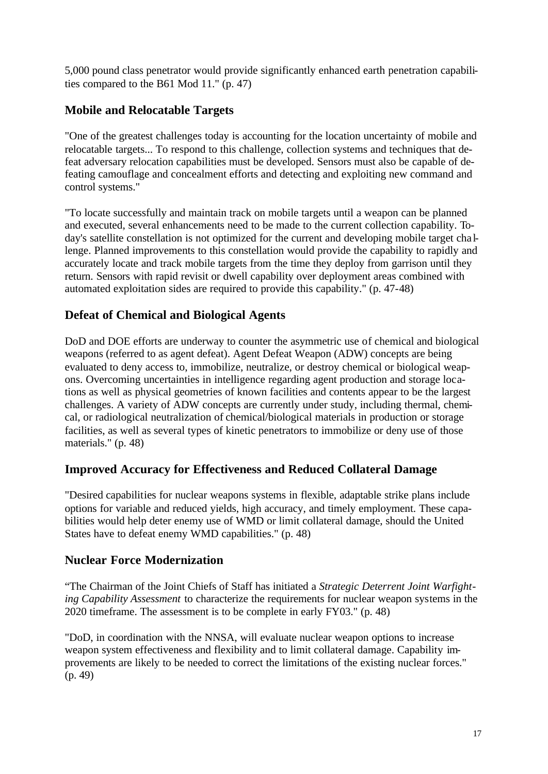5,000 pound class penetrator would provide significantly enhanced earth penetration capabilities compared to the B61 Mod 11." (p. 47)

### **Mobile and Relocatable Targets**

"One of the greatest challenges today is accounting for the location uncertainty of mobile and relocatable targets... To respond to this challenge, collection systems and techniques that defeat adversary relocation capabilities must be developed. Sensors must also be capable of defeating camouflage and concealment efforts and detecting and exploiting new command and control systems."

"To locate successfully and maintain track on mobile targets until a weapon can be planned and executed, several enhancements need to be made to the current collection capability. Today's satellite constellation is not optimized for the current and developing mobile target cha llenge. Planned improvements to this constellation would provide the capability to rapidly and accurately locate and track mobile targets from the time they deploy from garrison until they return. Sensors with rapid revisit or dwell capability over deployment areas combined with automated exploitation sides are required to provide this capability." (p. 47-48)

### **Defeat of Chemical and Biological Agents**

DoD and DOE efforts are underway to counter the asymmetric use of chemical and biological weapons (referred to as agent defeat). Agent Defeat Weapon (ADW) concepts are being evaluated to deny access to, immobilize, neutralize, or destroy chemical or biological weapons. Overcoming uncertainties in intelligence regarding agent production and storage locations as well as physical geometries of known facilities and contents appear to be the largest challenges. A variety of ADW concepts are currently under study, including thermal, chemical, or radiological neutralization of chemical/biological materials in production or storage facilities, as well as several types of kinetic penetrators to immobilize or deny use of those materials." (p. 48)

### **Improved Accuracy for Effectiveness and Reduced Collateral Damage**

"Desired capabilities for nuclear weapons systems in flexible, adaptable strike plans include options for variable and reduced yields, high accuracy, and timely employment. These capabilities would help deter enemy use of WMD or limit collateral damage, should the United States have to defeat enemy WMD capabilities." (p. 48)

#### **Nuclear Force Modernization**

"The Chairman of the Joint Chiefs of Staff has initiated a *Strategic Deterrent Joint Warfighting Capability Assessment* to characterize the requirements for nuclear weapon systems in the 2020 timeframe. The assessment is to be complete in early FY03." (p. 48)

"DoD, in coordination with the NNSA, will evaluate nuclear weapon options to increase weapon system effectiveness and flexibility and to limit collateral damage. Capability improvements are likely to be needed to correct the limitations of the existing nuclear forces." (p. 49)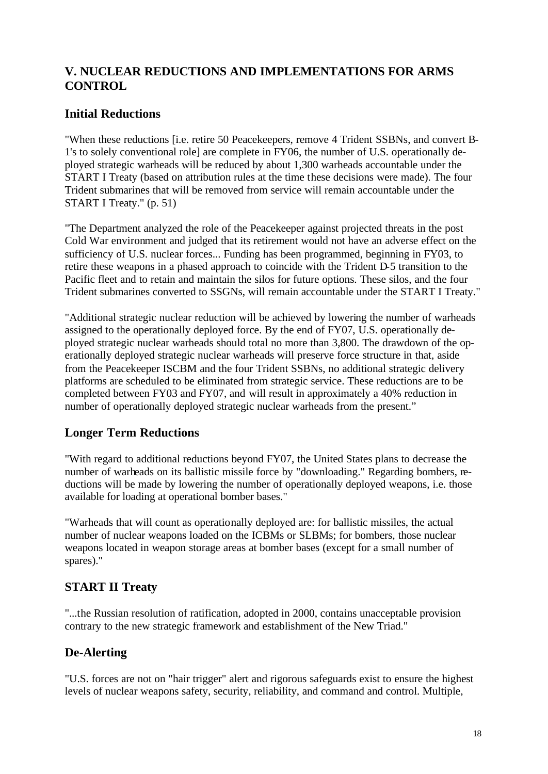### **V. NUCLEAR REDUCTIONS AND IMPLEMENTATIONS FOR ARMS CONTROL**

### **Initial Reductions**

"When these reductions [i.e. retire 50 Peacekeepers, remove 4 Trident SSBNs, and convert B-1's to solely conventional role] are complete in FY06, the number of U.S. operationally deployed strategic warheads will be reduced by about 1,300 warheads accountable under the START I Treaty (based on attribution rules at the time these decisions were made). The four Trident submarines that will be removed from service will remain accountable under the START I Treaty." (p. 51)

"The Department analyzed the role of the Peacekeeper against projected threats in the post Cold War environment and judged that its retirement would not have an adverse effect on the sufficiency of U.S. nuclear forces... Funding has been programmed, beginning in FY03, to retire these weapons in a phased approach to coincide with the Trident D-5 transition to the Pacific fleet and to retain and maintain the silos for future options. These silos, and the four Trident submarines converted to SSGNs, will remain accountable under the START I Treaty."

"Additional strategic nuclear reduction will be achieved by lowering the number of warheads assigned to the operationally deployed force. By the end of FY07, U.S. operationally deployed strategic nuclear warheads should total no more than 3,800. The drawdown of the operationally deployed strategic nuclear warheads will preserve force structure in that, aside from the Peacekeeper ISCBM and the four Trident SSBNs, no additional strategic delivery platforms are scheduled to be eliminated from strategic service. These reductions are to be completed between FY03 and FY07, and will result in approximately a 40% reduction in number of operationally deployed strategic nuclear warheads from the present."

### **Longer Term Reductions**

"With regard to additional reductions beyond FY07, the United States plans to decrease the number of warheads on its ballistic missile force by "downloading." Regarding bombers, reductions will be made by lowering the number of operationally deployed weapons, i.e. those available for loading at operational bomber bases."

"Warheads that will count as operationally deployed are: for ballistic missiles, the actual number of nuclear weapons loaded on the ICBMs or SLBMs; for bombers, those nuclear weapons located in weapon storage areas at bomber bases (except for a small number of spares)."

# **START II Treaty**

"...the Russian resolution of ratification, adopted in 2000, contains unacceptable provision contrary to the new strategic framework and establishment of the New Triad."

# **De-Alerting**

"U.S. forces are not on "hair trigger" alert and rigorous safeguards exist to ensure the highest levels of nuclear weapons safety, security, reliability, and command and control. Multiple,